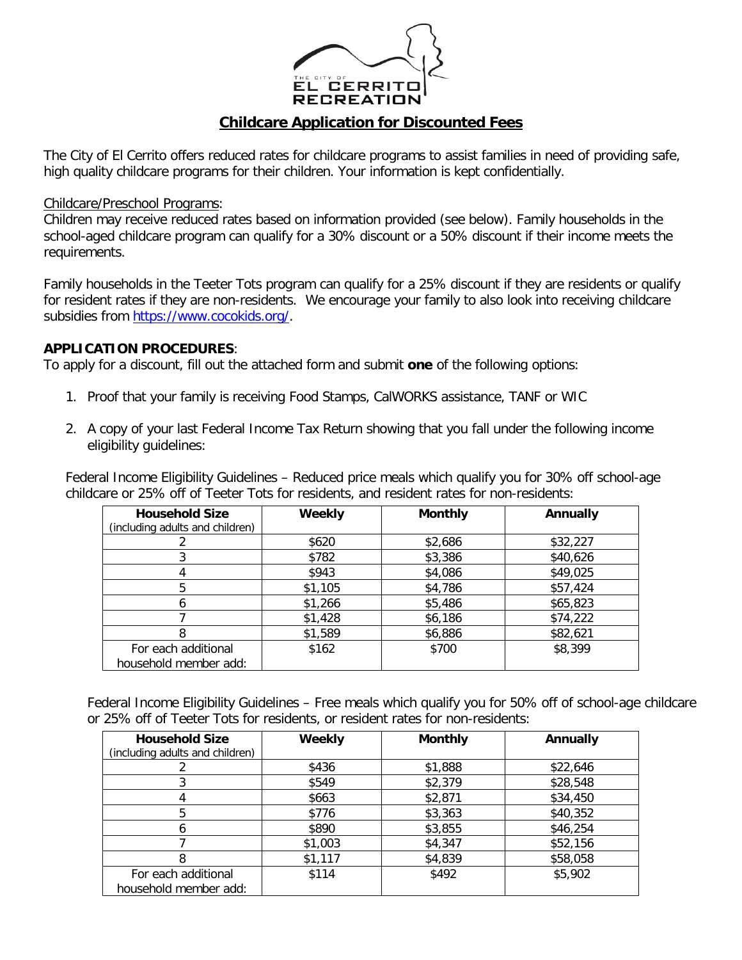

## **Childcare Application for Discounted Fees**

The City of El Cerrito offers reduced rates for childcare programs to assist families in need of providing safe, high quality childcare programs for their children. Your information is kept confidentially.

Childcare/Preschool Programs:

Children may receive reduced rates based on information provided (see below). Family households in the school-aged childcare program can qualify for a 30% discount or a 50% discount if their income meets the requirements.

Family households in the Teeter Tots program can qualify for a 25% discount if they are residents or qualify for resident rates if they are non-residents. We encourage your family to also look into receiving childcare subsidies from [https://www.cocokids.org/.](https://www.cocokids.org/)

## **APPLICATION PROCEDURES**:

To apply for a discount, fill out the attached form and submit **one** of the following options:

- 1. Proof that your family is receiving Food Stamps, CalWORKS assistance, TANF or WIC
- 2. A copy of your last Federal Income Tax Return showing that you fall under the following income eligibility guidelines:

Federal Income Eligibility Guidelines – Reduced price meals which qualify you for 30% off school-age childcare or 25% off of Teeter Tots for residents, and resident rates for non-residents:

| <b>Household Size</b><br>(including adults and children) | Weekly  | <b>Monthly</b> | Annually |
|----------------------------------------------------------|---------|----------------|----------|
|                                                          | \$620   | \$2,686        | \$32,227 |
|                                                          | \$782   | \$3,386        | \$40,626 |
|                                                          | \$943   | \$4,086        | \$49,025 |
| 5                                                        | \$1,105 | \$4,786        | \$57,424 |
|                                                          | \$1,266 | \$5,486        | \$65,823 |
|                                                          | \$1,428 | \$6,186        | \$74,222 |
|                                                          | \$1,589 | \$6,886        | \$82,621 |
| For each additional<br>household member add:             | \$162   | \$700          | \$8,399  |

Federal Income Eligibility Guidelines – Free meals which qualify you for 50% off of school-age childcare or 25% off of Teeter Tots for residents, or resident rates for non-residents:

| <b>Household Size</b>           | Weekly  | <b>Monthly</b> | Annually |
|---------------------------------|---------|----------------|----------|
| (including adults and children) |         |                |          |
|                                 | \$436   | \$1,888        | \$22,646 |
|                                 | \$549   | \$2,379        | \$28,548 |
|                                 | \$663   | \$2,871        | \$34,450 |
| 5                               | \$776   | \$3,363        | \$40,352 |
|                                 | \$890   | \$3,855        | \$46,254 |
|                                 | \$1,003 | \$4,347        | \$52,156 |
|                                 | \$1,117 | \$4,839        | \$58,058 |
| For each additional             | \$114   | \$492          | \$5,902  |
| household member add:           |         |                |          |